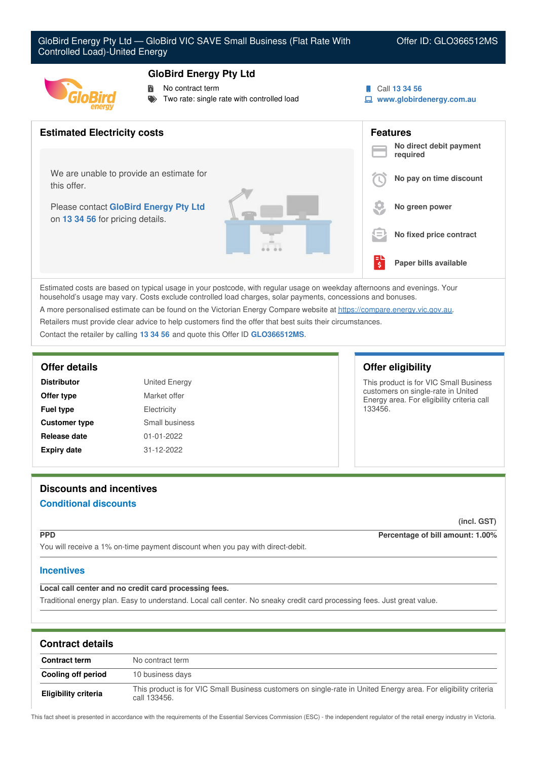# **GloBird Energy Pty Ltd**

- No contract term
	- Two rate: single rate with controlled load

Call **13 34 56**

**www.globirdenergy.com.au**



Estimated costs are based on typical usage in your postcode, with regular usage on weekday afternoons and evenings. Your household's usage may vary. Costs exclude controlled load charges, solar payments, concessions and bonuses. A more personalised estimate can be found on the Victorian Energy Compare website at <https://compare.energy.vic.gov.au>.

Retailers must provide clear advice to help customers find the offer that best suits their circumstances.

Contact the retailer by calling **13 34 56** and quote this Offer ID **GLO366512MS**.

| <b>Distributor</b>   | <b>United Energy</b> |
|----------------------|----------------------|
| Offer type           | Market offer         |
| <b>Fuel type</b>     | Electricity          |
| <b>Customer type</b> | Small business       |
| Release date         | 01-01-2022           |
| <b>Expiry date</b>   | 31-12-2022           |

# **Offer details Offer eligibility**

This product is for VIC Small Business customers on single-rate in United Energy area. For eligibility criteria call 133456.

# **Discounts and incentives Conditional discounts**

**(incl. GST)**

**PPD Percentage of bill amount: 1.00%**

You will receive a 1% on-time payment discount when you pay with direct-debit.

## **Incentives**

**Local call center and no credit card processing fees.**

Traditional energy plan. Easy to understand. Local call center. No sneaky credit card processing fees. Just great value.

| <b>Contract details</b>     |                                                                                                                                 |
|-----------------------------|---------------------------------------------------------------------------------------------------------------------------------|
| <b>Contract term</b>        | No contract term                                                                                                                |
| Cooling off period          | 10 business days                                                                                                                |
| <b>Eligibility criteria</b> | This product is for VIC Small Business customers on single-rate in United Energy area. For eligibility criteria<br>call 133456. |

This fact sheet is presented in accordance with the requirements of the Essential Services Commission (ESC) - the independent regulator of the retail energy industry in Victoria.